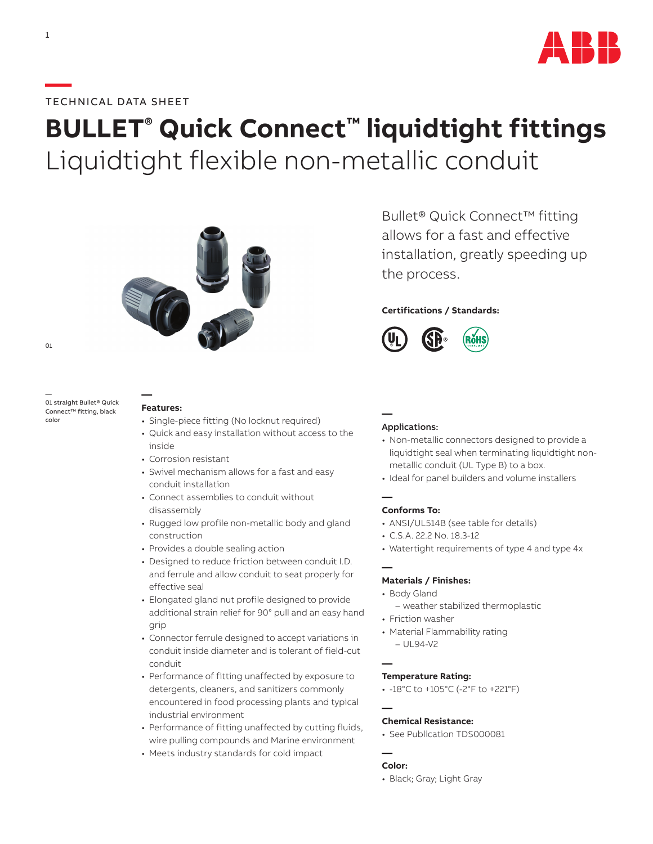

## **—**TECHNICAL DATA SHEET

# **BULLET® Quick Connect™ liquidtight fittings** Liquidtight flexible non-metallic conduit



01

— 01 straight Bullet® Quick Connect™ fitting, black color

#### **Features:**

**—**

- Single-piece fitting (No locknut required)
- Quick and easy installation without access to the inside
- Corrosion resistant
- Swivel mechanism allows for a fast and easy conduit installation
- Connect assemblies to conduit without disassembly
- Rugged low profile non-metallic body and gland construction
- Provides a double sealing action
- Designed to reduce friction between conduit I.D. and ferrule and allow conduit to seat properly for effective seal
- Elongated gland nut profile designed to provide additional strain relief for 90° pull and an easy hand grip
- Connector ferrule designed to accept variations in conduit inside diameter and is tolerant of field-cut conduit
- Performance of fitting unaffected by exposure to detergents, cleaners, and sanitizers commonly encountered in food processing plants and typical industrial environment
- Performance of fitting unaffected by cutting fluids, wire pulling compounds and Marine environment
- Meets industry standards for cold impact

Bullet® Quick Connect™ fitting allows for a fast and effective installation, greatly speeding up the process.

## **Certifications / Standards:**



## Applications:

**—**

- Non-metallic connectors designed to provide a liquidtight seal when terminating liquidtight nonmetallic conduit (UL Type B) to a box.
- Ideal for panel builders and volume installers

#### **— Conforms To:**

- ANSI/UL514B (see table for details)
- C.S.A. 22.2 No. 18.3-12
- Watertight requirements of type 4 and type 4x

#### **— Materials / Finishes:**

- Body Gland
	- weather stabilized thermoplastic
- Friction washer
- Material Flammability rating – UL94-V2

**—**

#### **Temperature Rating:**

• -18°C to +105°C (-2°F to +221°F)

#### **— Chemical Resistance:**

• See Publication TDS000081

#### **— Color:**

• Black; Gray; Light Gray